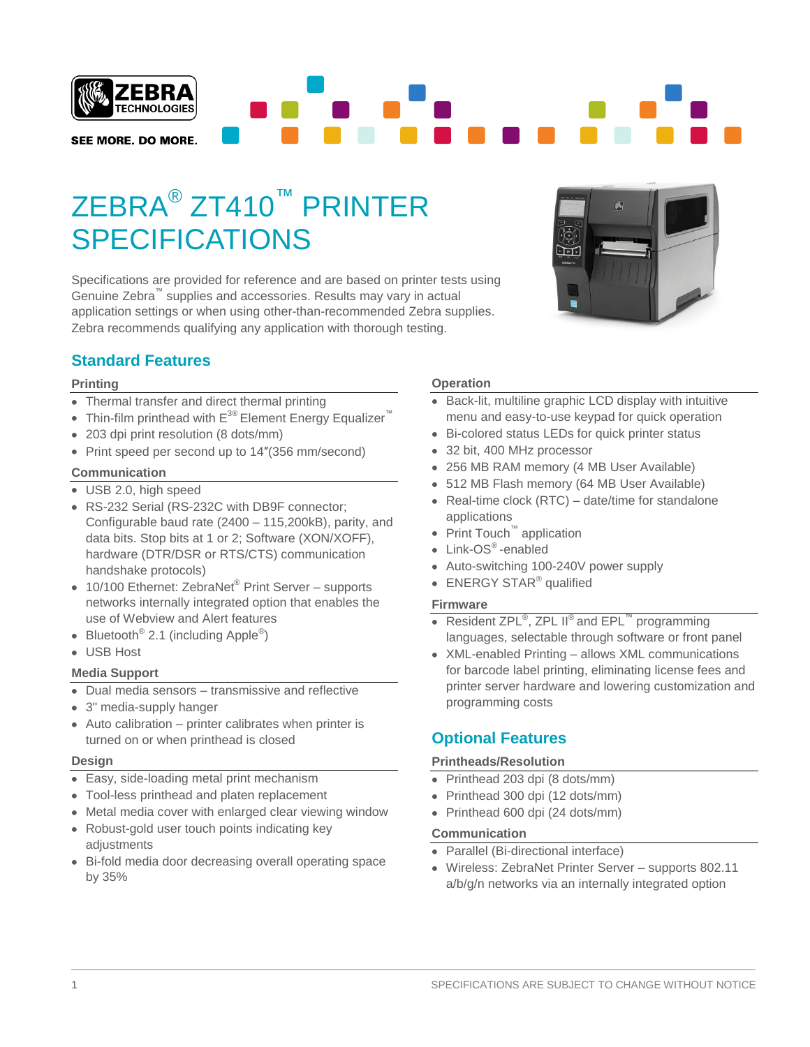

# ZEBRA® ZT410™ PRINTER SPECIFICATIONS

Specifications are provided for reference and are based on printer tests using Genuine Zebra<sup>™</sup> supplies and accessories. Results may vary in actual application settings or when using other-than-recommended Zebra supplies. Zebra recommends qualifying any application with thorough testing.

# **Standard Features**

### **Printing**

- Thermal transfer and direct thermal printing
- Thin-film printhead with  $E^{30}$  Element Energy Equalizer<sup>™</sup>
- 203 dpi print resolution (8 dots/mm)
- Print speed per second up to 14"(356 mm/second)

### **Communication**

- USB 2.0, high speed
- RS-232 Serial (RS-232C with DB9F connector: Configurable baud rate (2400 – 115,200kB), parity, and data bits. Stop bits at 1 or 2; Software (XON/XOFF), hardware (DTR/DSR or RTS/CTS) communication handshake protocols)
- 10/100 Ethernet: ZebraNet<sup>®</sup> Print Server supports networks internally integrated option that enables the use of Webview and Alert features
- Bluetooth<sup>®</sup> 2.1 (including Apple<sup>®</sup>)
- USB Host

### **Media Support**

- Dual media sensors transmissive and reflective
- 3" media-supply hanger
- Auto calibration printer calibrates when printer is turned on or when printhead is closed

### **Design**

- Easy, side-loading metal print mechanism
- Tool-less printhead and platen replacement
- Metal media cover with enlarged clear viewing window
- Robust-gold user touch points indicating key adjustments
- Bi-fold media door decreasing overall operating space by 35%

### **Operation**

- Back-lit, multiline graphic LCD display with intuitive menu and easy-to-use keypad for quick operation
- Bi-colored status LEDs for quick printer status  $\bullet$
- 32 bit, 400 MHz processor
- 256 MB RAM memory (4 MB User Available)
- 512 MB Flash memory (64 MB User Available)
- Real-time clock  $(RTC)$  date/time for standalone applications
- Print Touch™ application
- Link-OS<sup>®</sup>-enabled
- Auto-switching 100-240V power supply
- ENERGY STAR® qualified

### **Firmware**

- Resident ZPL<sup>®</sup>, ZPL II<sup>®</sup> and EPL<sup>™</sup> programming languages, selectable through software or front panel
- XML-enabled Printing allows XML communications for barcode label printing, eliminating license fees and printer server hardware and lowering customization and programming costs

### **Optional Features**

### **Printheads/Resolution**

- Printhead 203 dpi (8 dots/mm)
- Printhead 300 dpi (12 dots/mm)
- Printhead 600 dpi (24 dots/mm)

### **Communication**

- Parallel (Bi-directional interface)
- Wireless: ZebraNet Printer Server supports 802.11 a/b/g/n networks via an internally integrated option

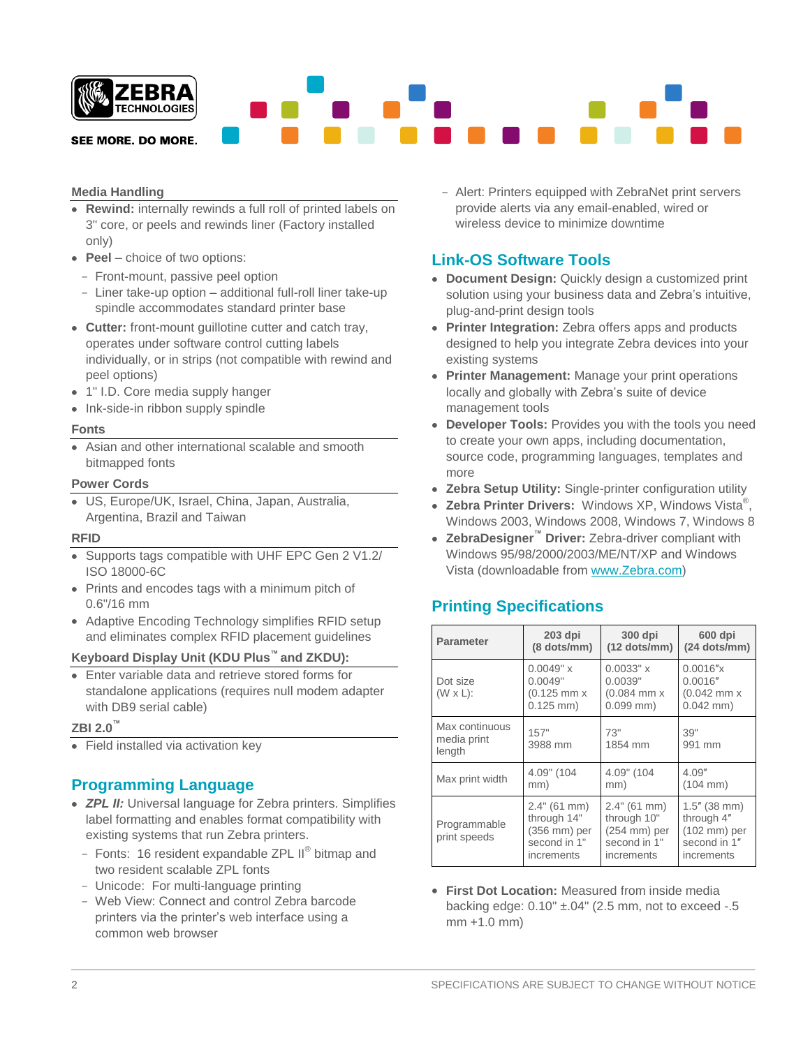

SEE MORE. DO MORE.

### **Media Handling**

- **Rewind:** internally rewinds a full roll of printed labels on 3" core, or peels and rewinds liner (Factory installed only)
- **Peel** choice of two options:
- Front-mount, passive peel option
- Liner take-up option additional full-roll liner take-up spindle accommodates standard printer base
- **Cutter:** front-mount guillotine cutter and catch tray, operates under software control cutting labels individually, or in strips (not compatible with rewind and peel options)
- 1" I.D. Core media supply hanger
- Ink-side-in ribbon supply spindle

#### **Fonts**

Asian and other international scalable and smooth bitmapped fonts

#### **Power Cords**

US, Europe/UK, Israel, China, Japan, Australia, Argentina, Brazil and Taiwan

#### **RFID**

- Supports tags compatible with UHF EPC Gen 2 V1.2/ ISO 18000-6C
- Prints and encodes tags with a minimum pitch of 0.6"/16 mm
- Adaptive Encoding Technology simplifies RFID setup and eliminates complex RFID placement guidelines

#### **Keyboard Display Unit (KDU Plus™ and ZKDU):**

Enter variable data and retrieve stored forms for standalone applications (requires null modem adapter with DB9 serial cable)

#### **ZBI 2.0™**

• Field installed via activation key

### **Programming Language**

- *ZPL II:* Universal language for Zebra printers. Simplifies label formatting and enables format compatibility with existing systems that run Zebra printers.
	- Fonts: 16 resident expandable ZPL II<sup>®</sup> bitmap and two resident scalable ZPL fonts
	- Unicode: For multi-language printing
	- Web View: Connect and control Zebra barcode printers via the printer's web interface using a common web browser

- Alert: Printers equipped with ZebraNet print servers provide alerts via any email-enabled, wired or wireless device to minimize downtime

### **Link-OS Software Tools**

- **Document Design:** Quickly design a customized print solution using your business data and Zebra's intuitive, plug-and-print design tools
- **Printer Integration:** Zebra offers apps and products designed to help you integrate Zebra devices into your existing systems
- **Printer Management:** Manage your print operations locally and globally with Zebra's suite of device management tools
- **Developer Tools:** Provides you with the tools you need to create your own apps, including documentation, source code, programming languages, templates and more
- **Zebra Setup Utility:** Single-printer configuration utility
- **Zebra Printer Drivers:** Windows XP, Windows Vista® , Windows 2003, Windows 2008, Windows 7, Windows 8
- **ZebraDesigner™ Driver:** Zebra-driver compliant with Windows 95/98/2000/2003/ME/NT/XP and Windows Vista (downloadable from [www.Zebra.com\)](http://www.zebra.com/)

### **Printing Specifications**

| <b>Parameter</b>                        | $203$ dpi<br>(8 dots/mm)                                                  | 300 dpi<br>$(12$ dots/mm)                                                      | 600 dpi<br>$(24$ dots/mm)                                                             |  |
|-----------------------------------------|---------------------------------------------------------------------------|--------------------------------------------------------------------------------|---------------------------------------------------------------------------------------|--|
| Dot size<br>$(W \times L)$ :            | 0.0049" x<br>0.0049"<br>$(0.125$ mm $x$<br>$0.125$ mm)                    | $0.0033"$ x<br>0.0039"<br>$(0.084$ mm $x$<br>$0.099$ mm)                       | 0.0016''x<br>0.0016''<br>$(0.042$ mm $x$<br>$0.042$ mm)                               |  |
| Max continuous<br>media print<br>length | 157"<br>73"<br>1854 mm<br>3988 mm                                         |                                                                                | 39"<br>991 mm                                                                         |  |
| Max print width                         | 4.09" (104<br>mm)                                                         | 4.09" (104<br>mm)                                                              | 4.09''<br>$(104 \, \text{mm})$                                                        |  |
| Programmable<br>print speeds            | 2.4" (61 mm)<br>through 14"<br>(356 mm) per<br>second in 1"<br>increments | 2.4" (61 mm)<br>through 10"<br>$(254$ mm $)$ per<br>second in 1"<br>increments | $1.5''$ (38 mm)<br>through 4"<br>$(102 \text{ mm})$ per<br>second in 1"<br>increments |  |

**First Dot Location:** Measured from inside media backing edge:  $0.10" \pm .04"$  (2.5 mm, not to exceed  $-.5$ mm +1.0 mm)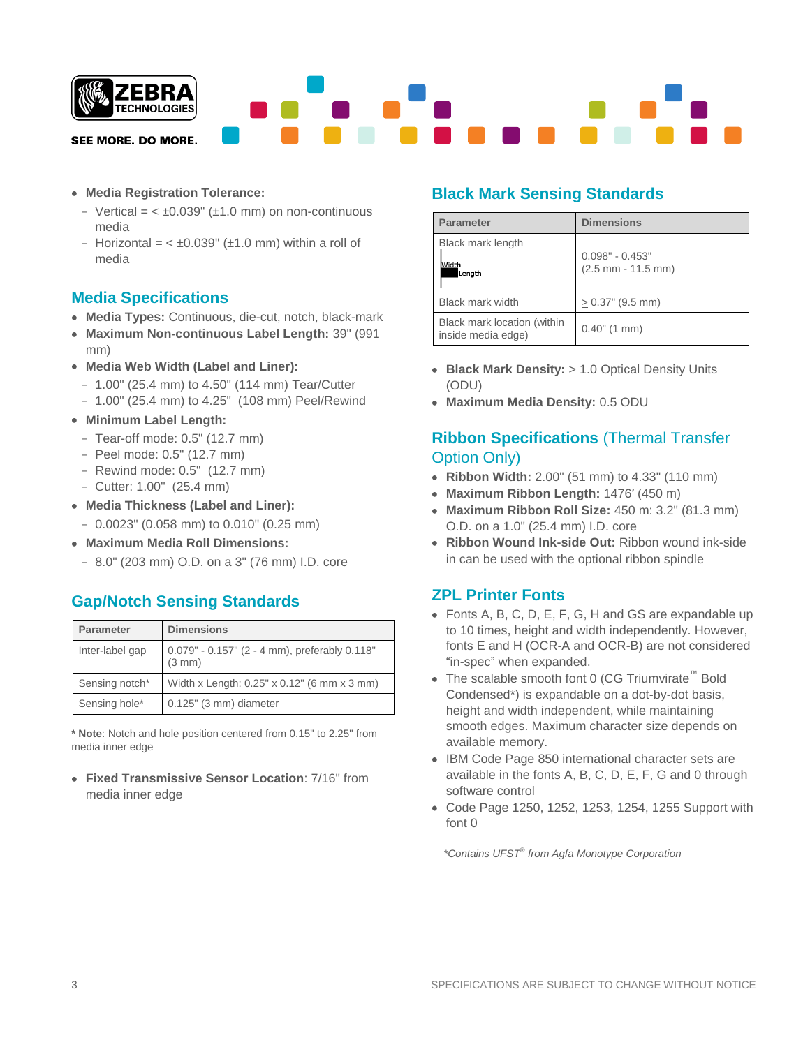

- **Media Registration Tolerance:** 
	- Vertical =  $< \pm 0.039$ " ( $\pm 1.0$  mm) on non-continuous media
	- Horizontal =  $< \pm 0.039$ " ( $\pm 1.0$  mm) within a roll of media

# **Media Specifications**

- **Media Types:** Continuous, die-cut, notch, black-mark
- **Maximum Non-continuous Label Length:** 39" (991 mm)
- **Media Web Width (Label and Liner):**
	- 1.00" (25.4 mm) to 4.50" (114 mm) Tear/Cutter
	- 1.00" (25.4 mm) to 4.25" (108 mm) Peel/Rewind
- **Minimum Label Length:**
	- Tear-off mode: 0.5" (12.7 mm)
	- Peel mode: 0.5" (12.7 mm)
	- Rewind mode: 0.5" (12.7 mm)
	- Cutter: 1.00" (25.4 mm)
- **Media Thickness (Label and Liner):**
	- 0.0023" (0.058 mm) to 0.010" (0.25 mm)
- **Maximum Media Roll Dimensions:**
	- 8.0" (203 mm) O.D. on a 3" (76 mm) I.D. core

# **Gap/Notch Sensing Standards**

| <b>Parameter</b> | <b>Dimensions</b>                                       |
|------------------|---------------------------------------------------------|
| Inter-label gap  | 0.079" - 0.157" (2 - 4 mm), preferably 0.118"<br>(3 mm) |
| Sensing notch*   | Width x Length: 0.25" x 0.12" (6 mm x 3 mm)             |
| Sensing hole*    | $0.125$ " (3 mm) diameter                               |

**\* Note**: Notch and hole position centered from 0.15" to 2.25" from media inner edge

**Fixed Transmissive Sensor Location**: 7/16" from media inner edge

# **Black Mark Sensing Standards**

| <b>Parameter</b>                                  | <b>Dimensions</b>                         |
|---------------------------------------------------|-------------------------------------------|
| Black mark length                                 |                                           |
| Width<br>Length                                   | $0.098" - 0.453"$<br>$(2.5$ mm - 11.5 mm) |
| <b>Black mark width</b>                           | $> 0.37$ " (9.5 mm)                       |
| Black mark location (within<br>inside media edge) | $0.40$ " (1 mm)                           |

- **Black Mark Density:** > 1.0 Optical Density Units (ODU)
- **Maximum Media Density:** 0.5 ODU

# **Ribbon Specifications** (Thermal Transfer Option Only)

- **Ribbon Width:** 2.00" (51 mm) to 4.33" (110 mm)
- **Maximum Ribbon Length:** 1476′ (450 m)
- **Maximum Ribbon Roll Size:** 450 m: 3.2" (81.3 mm) O.D. on a 1.0" (25.4 mm) I.D. core
- **Ribbon Wound Ink-side Out:** Ribbon wound ink-side in can be used with the optional ribbon spindle

# **ZPL Printer Fonts**

- Fonts A, B, C, D, E, F, G, H and GS are expandable up to 10 times, height and width independently. However, fonts E and H (OCR-A and OCR-B) are not considered "in-spec" when expanded.
- The scalable smooth font 0 (CG Triumvirate™ Bold Condensed\*) is expandable on a dot-by-dot basis, height and width independent, while maintaining smooth edges. Maximum character size depends on available memory.
- IBM Code Page 850 international character sets are available in the fonts A, B, C, D, E, F, G and 0 through software control
- Code Page 1250, 1252, 1253, 1254, 1255 Support with font 0

 *\*Contains UFST*® *from Agfa Monotype Corporation*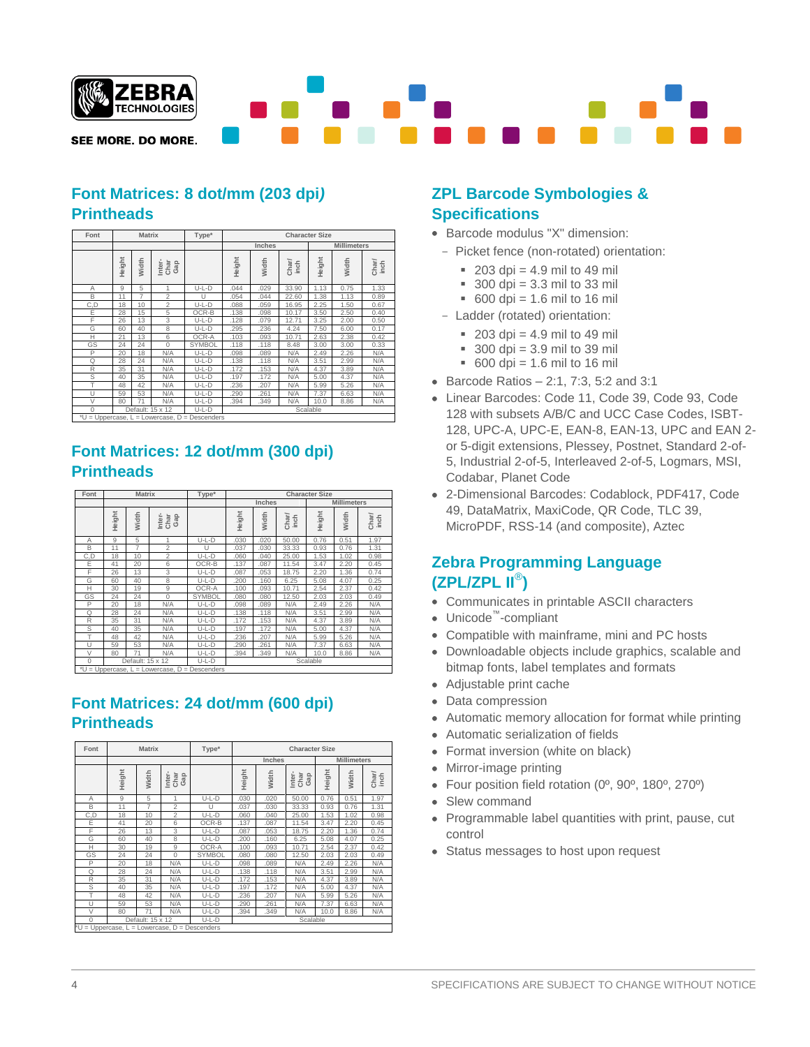

SEE MORE. DO MORE.

# **Font Matrices: 8 dot/mm (203 dpi***)* **Printheads**

| Font                            |        | <b>Matrix</b> |                       | Type*            | <b>Character Size</b>        |       |               |        |       |               |
|---------------------------------|--------|---------------|-----------------------|------------------|------------------------------|-------|---------------|--------|-------|---------------|
|                                 |        |               |                       |                  | Inches<br><b>Millimeters</b> |       |               |        |       |               |
|                                 | Height | Width         | Inter-<br>Char<br>Gap |                  | Height                       | Width | Char/<br>inch | Height | Width | Char/<br>inch |
| A                               | 9      | 5             | 1                     | $U-L-D$          | .044                         | .029  | 33.90         | 1.13   | 0.75  | 1.33          |
| B                               | 11     | 7             | $\overline{2}$        | U                | .054                         | .044  | 22.60         | 1.38   | 1.13  | 0.89          |
| C,D                             | 18     | 10            | $\overline{2}$        | U-L-D            | .088                         | .059  | 16.95         | 2.25   | 1.50  | 0.67          |
| E                               | 28     | 15            | 5                     | OCR-B            | .138                         | .098  | 10.17         | 3.50   | 2.50  | 0.40          |
| F                               | 26     | 13            | 3                     | $U-L-D$          | .128                         | .079  | 12.71         | 3.25   | 2.00  | 0.50          |
| G                               | 60     | 40            | 8                     | $U-L-D$          | .295                         | .236  | 4.24          | 7.50   | 6.00  | 0.17          |
| Н                               | 21     | 13            | 6                     | OCR-A            | .103                         | .093  | 10.71         | 2.63   | 2.38  | 0.42          |
| GS                              | 24     | 24            | $\Omega$              | <b>SYMBOL</b>    | .118                         | .118  | 8.48          | 3.00   | 3.00  | 0.33          |
| P                               | 20     | 18            | N/A                   | $U-L-D$          | .098                         | .089  | N/A           | 2.49   | 2.26  | N/A           |
| Q                               | 28     | 24            | N/A                   | $U-L-D$          | .138                         | .118  | N/A           | 3.51   | 2.99  | N/A           |
| R                               | 35     | 31            | N/A                   | U-L-D            | .172                         | .153  | N/A           | 4.37   | 3.89  | N/A           |
| S                               | 40     | 35            | N/A                   | U-L-D            | .197                         | .172  | N/A           | 5.00   | 4.37  | N/A           |
| T                               | 48     | 42            | N/A                   | U-L-D            | .236                         | .207  | N/A           | 5.99   | 5.26  | N/A           |
| $\cup$                          | 59     | 53            | N/A                   | U-L-D            | .290                         | .261  | N/A           | 7.37   | 6.63  | N/A           |
| V                               | 80     | 71            | N/A                   | U-L-D            | .394                         | .349  | N/A           | 10.0   | 8.86  | N/A           |
| $\Omega$                        |        |               | Default: 15 x 12      | U-L-D            | Scalable                     |       |               |        |       |               |
| *II - I Innorcaso I - Lowercaso |        |               |                       | $D -$ Deceanders |                              |       |               |        |       |               |

\*U = Uppercase, L = Lowercase, D = Descenders

# **Font Matrices: 12 dot/mm (300 dpi) Printheads**

| Font |        | <b>Matrix</b>    |                       | Type*         | <b>Character Size</b> |       |               |                    |       |               |
|------|--------|------------------|-----------------------|---------------|-----------------------|-------|---------------|--------------------|-------|---------------|
|      |        |                  |                       |               | Inches                |       |               | <b>Millimeters</b> |       |               |
|      | Height | Width            | Gap<br>Char<br>Inter- |               | Height                | Width | Charl<br>inch | Height             | Width | Char/<br>inch |
| Α    | 9      | 5                |                       | $U-L-D$       | .030                  | .020  | 50.00         | 0.76               | 0.51  | 1.97          |
| B    | 11     | 7                | $\overline{2}$        | U             | .037                  | .030  | 33.33         | 0.93               | 0.76  | 1.31          |
| C,D  | 18     | 10               | $\overline{2}$        | U-L-D         | .060                  | .040  | 25.00         | 1.53               | 1.02  | 0.98          |
| Ε    | 41     | 20               | 6                     | OCR-B         | .137                  | .087  | 11.54         | 3.47               | 2.20  | 0.45          |
| F    | 26     | 13               | 3                     | $U-L-D$       | .087                  | .053  | 18.75         | 2.20               | 1.36  | 0.74          |
| G    | 60     | 40               | 8                     | $U-L-D$       | .200                  | .160  | 6.25          | 5.08               | 4.07  | 0.25          |
| н    | 30     | 19               | 9                     | OCR-A         | .100                  | .093  | 10.71         | 2.54               | 2.37  | 0.42          |
| GS   | 24     | 24               | $\Omega$              | <b>SYMBOL</b> | .080                  | .080  | 12.50         | 2.03               | 2.03  | 0.49          |
| P    | 20     | 18               | N/A                   | $U-L-D$       | .098                  | .089  | N/A           | 2.49               | 2.26  | N/A           |
| Q    | 28     | 24               | N/A                   | $U-L-D$       | .138                  | .118  | N/A           | 3.51               | 2.99  | N/A           |
| R    | 35     | 31               | N/A                   | $U-L-D$       | .172                  | .153  | N/A           | 4.37               | 3.89  | N/A           |
| S    | 40     | 35               | N/A                   | $U-L-D$       | .197                  | .172  | N/A           | 5.00               | 4.37  | N/A           |
|      | 48     | 42               | N/A                   | $U-L-D$       | .236                  | .207  | N/A           | 5.99               | 5.26  | N/A           |
| U    | 59     | 53               | N/A                   | U-L-D         | 290                   | .261  | N/A           | 7.37               | 6.63  | N/A           |
| V    | 80     | 71               | N/A                   | $U-L-D$       | .394                  | .349  | N/A           | 10.0               | 8.86  | N/A           |
| 0    |        | Default: 15 x 12 |                       | U-L-D         | Scalable              |       |               |                    |       |               |

\*U = Uppercase, L = Lowercase, D = Descenders

# **Font Matrices: 24 dot/mm (600 dpi) Printheads**

| Font                                             |        | <b>Matrix</b>    |                       | Type*   | <b>Character Size</b> |       |                       |        |                    |               |  |
|--------------------------------------------------|--------|------------------|-----------------------|---------|-----------------------|-------|-----------------------|--------|--------------------|---------------|--|
|                                                  |        |                  |                       |         | <b>Inches</b>         |       |                       |        | <b>Millimeters</b> |               |  |
|                                                  | Height | Width            | Inter-<br>Char<br>Gap |         | Height                | Width | Inter-<br>Char<br>Gap | Height | Width              | Char/<br>inch |  |
| A                                                | 9      | 5                | 1                     | $U-L-D$ | .030                  | .020  | 50.00                 | 0.76   | 0.51               | 1.97          |  |
| B                                                | 11     | 7                | $\overline{2}$        | U       | .037                  | .030  | 33.33                 | 0.93   | 0.76               | 1.31          |  |
| C,D                                              | 18     | 10               | $\overline{c}$        | $U-L-D$ | .060                  | .040  | 25.00                 | 1.53   | 1.02               | 0.98          |  |
| E                                                | 41     | 20               | 6                     | OCR-B   | .137                  | .087  | 11.54                 | 3.47   | 2.20               | 0.45          |  |
| F                                                | 26     | 13               | 3                     | $U-L-D$ | .087                  | .053  | 18.75                 | 2.20   | 1.36               | 0.74          |  |
| G                                                | 60     | 40               | 8                     | $U-L-D$ | .200                  | .160  | 6.25                  | 5.08   | 4.07               | 0.25          |  |
| Н                                                | 30     | 19               | 9                     | OCR-A   | .100                  | .093  | 10.71                 | 2.54   | 2.37               | 0.42          |  |
| GS                                               | 24     | 24               | $\Omega$              | SYMBOL  | .080                  | .080  | 12.50                 | 2.03   | 2.03               | 0.49          |  |
| P                                                | 20     | 18               | N/A                   | $U-L-D$ | .098                  | .089  | N/A                   | 2.49   | 2.26               | N/A           |  |
| Q                                                | 28     | 24               | N/A                   | $U-L-D$ | .138                  | .118  | N/A                   | 3.51   | 2.99               | N/A           |  |
| R                                                | 35     | 31               | N/A                   | $U-L-D$ | .172                  | .153  | N/A                   | 4.37   | 3.89               | N/A           |  |
| S                                                | 40     | 35               | N/A                   | $U-L-D$ | .197                  | .172  | N/A                   | 5.00   | 4.37               | N/A           |  |
|                                                  | 48     | 42               | N/A                   | U-L-D   | .236                  | .207  | N/A                   | 5.99   | 5.26               | N/A           |  |
| $\cup$                                           | 59     | 53               | N/A                   | $U-L-D$ | .290                  | .261  | N/A                   | 7.37   | 6.63               | N/A           |  |
| V                                                | 80     | 71               | N/A                   | $U-L-D$ | .394                  | .349  | N/A                   | 10.0   | 8.86               | N/A           |  |
| $\Omega$                                         |        | Default: 15 x 12 |                       | U-L-D   | Scalable              |       |                       |        |                    |               |  |
| $*U = U$ ppercase, L = Lowercase, D = Descenders |        |                  |                       |         |                       |       |                       |        |                    |               |  |

### **ZPL Barcode Symbologies & Specifications**

- Barcode modulus "X" dimension:
	- Picket fence (non-rotated) orientation:
		- $203$  dpi = 4.9 mil to 49 mil
		- $\overline{300}$  dpi = 3.3 mil to 33 mil
		- $600$  dpi = 1.6 mil to 16 mil
	- Ladder (rotated) orientation:
		- $203$  dpi = 4.9 mil to 49 mil
		- $\approx 300$  dpi = 3.9 mil to 39 mil
		- $600$  dpi = 1.6 mil to 16 mil
- Barcode Ratios  $-2:1$ , 7:3, 5:2 and 3:1
- Linear Barcodes: Code 11, Code 39, Code 93, Code 128 with subsets A/B/C and UCC Case Codes, ISBT-128, UPC-A, UPC-E, EAN-8, EAN-13, UPC and EAN 2 or 5-digit extensions, Plessey, Postnet, Standard 2-of-5, Industrial 2-of-5, Interleaved 2-of-5, Logmars, MSI, Codabar, Planet Code
- 2-Dimensional Barcodes: Codablock, PDF417, Code 49, DataMatrix, MaxiCode, QR Code, TLC 39, MicroPDF, RSS-14 (and composite), Aztec

### **Zebra Programming Language (ZPL/ZPL II**® **)**

- Communicates in printable ASCII characters
- Unicode™ -compliant
- Compatible with mainframe, mini and PC hosts
- Downloadable objects include graphics, scalable and bitmap fonts, label templates and formats
- Adjustable print cache
- Data compression
- Automatic memory allocation for format while printing
- Automatic serialization of fields
- Format inversion (white on black)
- Mirror-image printing
- Four position field rotation (0º, 90º, 180º, 270º)
- Slew command
- Programmable label quantities with print, pause, cut control
- Status messages to host upon request